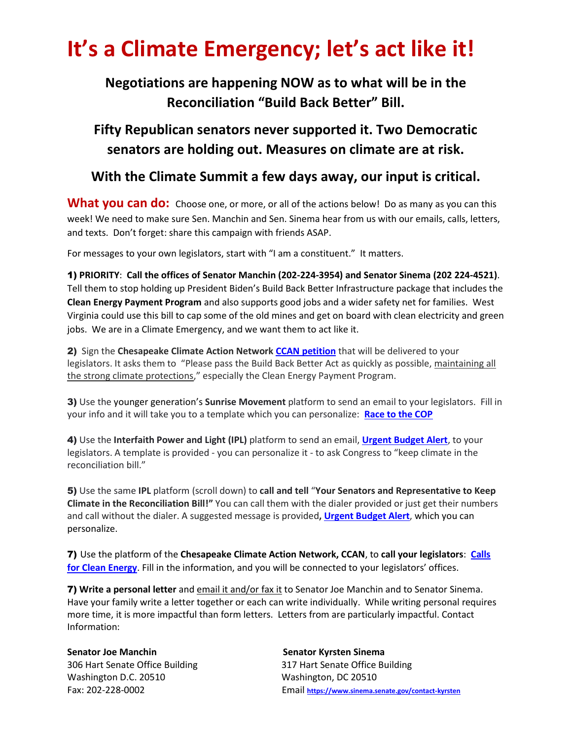## **It's a Climate Emergency; let's act like it!**

## **Negotiations are happening NOW as to what will be in the Reconciliation "Build Back Better" Bill.**

**Fifty Republican senators never supported it. Two Democratic senators are holding out. Measures on climate are at risk.** 

## **With the Climate Summit a few days away, our input is critical.**

**What you can do:** Choose one, or more, or all of the actions below! Do as many as you can this week! We need to make sure Sen. Manchin and Sen. Sinema hear from us with our emails, calls, letters, and texts. Don't forget: share this campaign with friends ASAP.

For messages to your own legislators, start with "I am a constituent." It matters.

1) **PRIORITY**: **Call the offices of Senator Manchin (202-224-3954) and Senator Sinema (202 224-4521)**. Tell them to stop holding up President Biden's Build Back Better Infrastructure package that includes the **Clean Energy Payment Program** and also supports good jobs and a wider safety net for families. West Virginia could use this bill to cap some of the old mines and get on board with clean electricity and green jobs. We are in a Climate Emergency, and we want them to act like it.

2) Sign the **Chesapeake Climate Action Network [CCAN petition](https://act.chesapeakeclimate.org/page/34497/petition/1)** that will be delivered to your legislators. It asks them to "Please pass the Build Back Better Act as quickly as possible, maintaining all the strong climate protections," especially the Clean Energy Payment Program.

3) Use the younger generation's **Sunrise Movement** platform to send an email to your legislators. Fill in your info and it will take you to a template which you can personalize: **[Race to the COP](https://racetothecop.org/?utm_source=email_202101023_racetothecop_sunrise_s1&ms=email_202101023_RaceToTheCOP_sunrise_s1&emci=bc7c3234-1134-ec11-9820-c896653b26c8&emdi=e8e1299b-1234-ec11-9820-c896653b26c8&ceid=155055)**

4) Use the **Interfaith Power and Light (IPL)** platform to send an email, **Urgent [Budget Alert](https://interfaithpowerandlight.salsalabs.org/bidenbudgetactionalertoctober/index.html)**, to your legislators. A template is provided - you can personalize it - to ask Congress to "keep climate in the reconciliation bill."

5) Use the same **IPL** platform (scroll down) to **call and tell** "**Your Senators and Representative to Keep Climate in the Reconciliation Bill!"** You can call them with the dialer provided or just get their numbers and call without the dialer. A suggested message is provided**, [Urgent Budget Alert](https://interfaithpowerandlight.salsalabs.org/bidenbudgetactionalertoctober/index.html)**, which you can personalize.

7) Use the platform of the **Chesapeake Climate Action Network, CCAN**, to **call your legislators**: **[Calls](https://act.ccanactionfund.org/page/33197/call/1)  [for Clean Energy](https://act.ccanactionfund.org/page/33197/call/1)**. Fill in the information, and you will be connected to your legislators' offices.

7) **Write a personal letter** and email it and/or fax it to Senator Joe Manchin and to Senator Sinema. Have your family write a letter together or each can write individually. While writing personal requires more time, it is more impactful than form letters. Letters from are particularly impactful. Contact Information:

**Senator Joe Manchin Senator Kyrsten Sinema** 306 Hart Senate Office Building 317 Hart Senate Office Building Washington D.C. 20510 Washington, DC 20510

Fax: 202-228-0002 Email **<https://www.sinema.senate.gov/contact-kyrsten>**